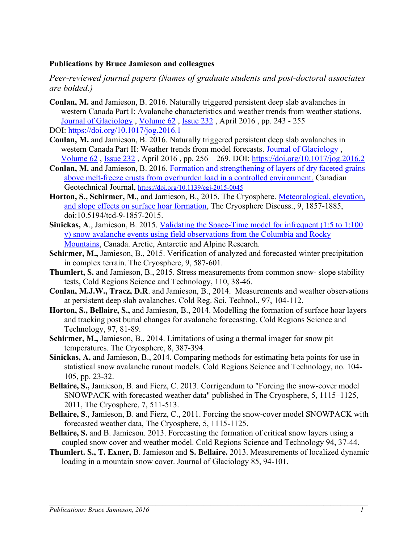#### Publications by Bruce Jamieson and colleagues

Peer-reviewed journal papers (Names of graduate students and post-doctoral associates are bolded.)

- Conlan, M. and Jamieson, B. 2016. Naturally triggered persistent deep slab avalanches in western Canada Part I: Avalanche characteristics and weather trends from weather stations. Journal of Glaciology , Volume 62 , Issue 232 , April 2016 , pp. 243 - 255 DOI: https://doi.org/10.1017/jog.2016.1
- Conlan, M. and Jamieson, B. 2016. Naturally triggered persistent deep slab avalanches in western Canada Part II: Weather trends from model forecasts. Journal of Glaciology , Volume 62 , Issue 232 , April 2016 , pp. 256 – 269. DOI: https://doi.org/10.1017/jog.2016.2
- Conlan, M. and Jamieson, B. 2016. Formation and strengthening of layers of dry faceted grains above melt-freeze crusts from overburden load in a controlled environment. Canadian Geotechnical Journal, https://doi.org/10.1139/cgj-2015-0045
- Horton, S., Schirmer, M., and Jamieson, B., 2015. The Cryosphere. Meteorological, elevation, and slope effects on surface hoar formation, The Cryosphere Discuss., 9, 1857-1885, doi:10.5194/tcd-9-1857-2015.
- Sinickas, A., Jamieson, B. 2015. Validating the Space-Time model for infrequent (1:5 to 1:100) y) snow avalanche events using field observations from the Columbia and Rocky Mountains, Canada. Arctic, Antarctic and Alpine Research.
- Schirmer, M., Jamieson, B., 2015. Verification of analyzed and forecasted winter precipitation in complex terrain. The Cryosphere, 9, 587-601.
- Thumlert, S. and Jamieson, B., 2015. Stress measurements from common snow- slope stability tests, Cold Regions Science and Technology, 110, 38-46.
- Conlan, M.J.W., Tracz, D.R. and Jamieson, B., 2014. Measurements and weather observations at persistent deep slab avalanches. Cold Reg. Sci. Technol., 97, 104-112.
- Horton, S., Bellaire, S., and Jamieson, B., 2014. Modelling the formation of surface hoar layers and tracking post burial changes for avalanche forecasting, Cold Regions Science and Technology, 97, 81-89.
- Schirmer, M., Jamieson, B., 2014. Limitations of using a thermal imager for snow pit temperatures. The Cryosphere, 8, 387-394.
- Sinickas, A. and Jamieson, B., 2014. Comparing methods for estimating beta points for use in statistical snow avalanche runout models. Cold Regions Science and Technology, no. 104- 105, pp. 23-32.
- Bellaire, S., Jamieson, B. and Fierz, C. 2013. Corrigendum to "Forcing the snow-cover model SNOWPACK with forecasted weather data" published in The Cryosphere, 5, 1115–1125, 2011, The Cryosphere, 7, 511-513.
- Bellaire, S., Jamieson, B. and Fierz, C., 2011. Forcing the snow-cover model SNOWPACK with forecasted weather data, The Cryosphere, 5, 1115-1125.
- Bellaire, S. and B. Jamieson. 2013. Forecasting the formation of critical snow layers using a coupled snow cover and weather model. Cold Regions Science and Technology 94, 37-44.
- Thumlert. S., T. Exner, B. Jamieson and S. Bellaire. 2013. Measurements of localized dynamic loading in a mountain snow cover. Journal of Glaciology 85, 94-101.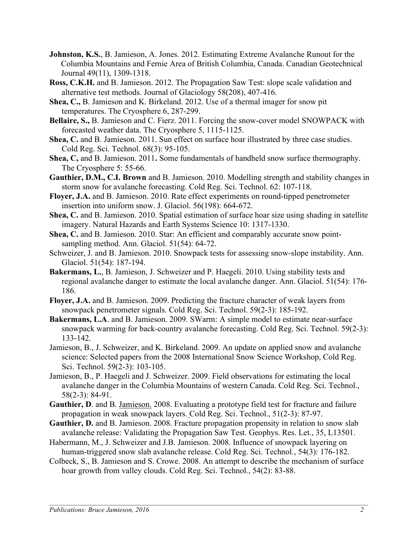- Johnston, K.S., B. Jamieson, A. Jones. 2012. Estimating Extreme Avalanche Runout for the Columbia Mountains and Fernie Area of British Columbia, Canada. Canadian Geotechnical Journal 49(11), 1309-1318.
- Ross, C.K.H. and B. Jamieson. 2012. The Propagation Saw Test: slope scale validation and alternative test methods. Journal of Glaciology 58(208), 407-416.
- Shea, C., B. Jamieson and K. Birkeland. 2012. Use of a thermal imager for snow pit temperatures. The Cryosphere 6, 287-299.
- Bellaire, S., B. Jamieson and C. Fierz. 2011. Forcing the snow-cover model SNOWPACK with forecasted weather data. The Cryosphere 5, 1115-1125.
- Shea, C. and B. Jamieson. 2011. Sun effect on surface hoar illustrated by three case studies. Cold Reg. Sci. Technol. 68(3): 95-105.
- Shea, C, and B. Jamieson. 2011. Some fundamentals of handheld snow surface thermography. The Cryosphere 5: 55-66.
- Gauthier, D.M., C.I. Brown and B. Jamieson. 2010. Modelling strength and stability changes in storm snow for avalanche forecasting. Cold Reg. Sci. Technol. 62: 107-118.
- Floyer, J.A. and B. Jamieson. 2010. Rate effect experiments on round-tipped penetrometer insertion into uniform snow. J. Glaciol. 56(198): 664-672.
- Shea, C. and B. Jamieson. 2010. Spatial estimation of surface hoar size using shading in satellite imagery. Natural Hazards and Earth Systems Science 10: 1317-1330.
- Shea, C. and B. Jamieson. 2010. Star: An efficient and comparably accurate snow pointsampling method. Ann. Glaciol. 51(54): 64-72.
- Schweizer, J. and B. Jamieson. 2010. Snowpack tests for assessing snow-slope instability. Ann. Glaciol. 51(54): 187-194.
- Bakermans, L., B. Jamieson, J. Schweizer and P. Haegeli. 2010. Using stability tests and regional avalanche danger to estimate the local avalanche danger. Ann. Glaciol. 51(54): 176- 186.
- Floyer, J.A. and B. Jamieson. 2009. Predicting the fracture character of weak layers from snowpack penetrometer signals. Cold Reg. Sci. Technol. 59(2-3): 185-192.
- Bakermans, L.A. and B. Jamieson. 2009. SWarm: A simple model to estimate near-surface snowpack warming for back-country avalanche forecasting. Cold Reg. Sci. Technol. 59(2-3): 133-142.
- Jamieson, B., J. Schweizer, and K. Birkeland. 2009. An update on applied snow and avalanche science: Selected papers from the 2008 International Snow Science Workshop, Cold Reg. Sci. Technol. 59(2-3): 103-105.
- Jamieson, B., P. Haegeli and J. Schweizer. 2009. Field observations for estimating the local avalanche danger in the Columbia Mountains of western Canada. Cold Reg. Sci. Technol., 58(2-3): 84-91.
- Gauthier, D. and B. Jamieson. 2008. Evaluating a prototype field test for fracture and failure propagation in weak snowpack layers. Cold Reg. Sci. Technol., 51(2-3): 87-97.
- Gauthier, D. and B. Jamieson. 2008. Fracture propagation propensity in relation to snow slab avalanche release: Validating the Propagation Saw Test. Geophys. Res. Let., 35, L13501.
- Habermann, M., J. Schweizer and J.B. Jamieson. 2008. Influence of snowpack layering on human-triggered snow slab avalanche release. Cold Reg. Sci. Technol., 54(3): 176-182.
- Colbeck, S., B. Jamieson and S. Crowe. 2008. An attempt to describe the mechanism of surface hoar growth from valley clouds. Cold Reg. Sci. Technol., 54(2): 83-88.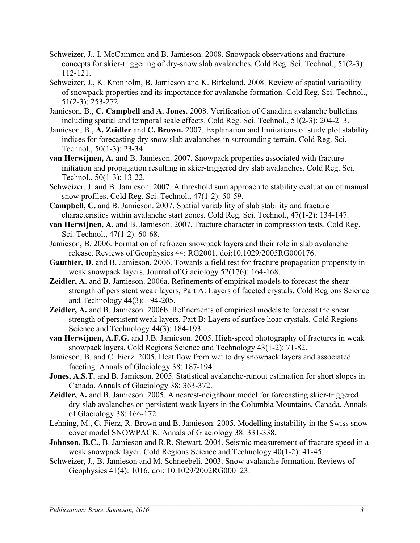- Schweizer, J., I. McCammon and B. Jamieson. 2008. Snowpack observations and fracture concepts for skier-triggering of dry-snow slab avalanches. Cold Reg. Sci. Technol., 51(2-3): 112-121.
- Schweizer, J., K. Kronholm, B. Jamieson and K. Birkeland. 2008. Review of spatial variability of snowpack properties and its importance for avalanche formation. Cold Reg. Sci. Technol., 51(2-3): 253-272.
- Jamieson, B., C. Campbell and A. Jones. 2008. Verification of Canadian avalanche bulletins including spatial and temporal scale effects. Cold Reg. Sci. Technol., 51(2-3): 204-213.
- Jamieson, B., A. Zeidler and C. Brown. 2007. Explanation and limitations of study plot stability indices for forecasting dry snow slab avalanches in surrounding terrain. Cold Reg. Sci. Technol., 50(1-3): 23-34.
- van Herwijnen, A. and B. Jamieson. 2007. Snowpack properties associated with fracture initiation and propagation resulting in skier-triggered dry slab avalanches. Cold Reg. Sci. Technol., 50(1-3): 13-22.
- Schweizer, J. and B. Jamieson. 2007. A threshold sum approach to stability evaluation of manual snow profiles. Cold Reg. Sci. Technol., 47(1-2): 50-59.
- Campbell, C. and B. Jamieson. 2007. Spatial variability of slab stability and fracture characteristics within avalanche start zones. Cold Reg. Sci. Technol., 47(1-2): 134-147.
- van Herwijnen, A. and B. Jamieson. 2007. Fracture character in compression tests. Cold Reg. Sci. Technol., 47(1-2): 60-68.
- Jamieson, B. 2006. Formation of refrozen snowpack layers and their role in slab avalanche release. Reviews of Geophysics 44: RG2001, doi:10.1029/2005RG000176.
- Gauthier, D. and B. Jamieson. 2006. Towards a field test for fracture propagation propensity in weak snowpack layers. Journal of Glaciology 52(176): 164-168.
- Zeidler, A. and B. Jamieson. 2006a. Refinements of empirical models to forecast the shear strength of persistent weak layers, Part A: Layers of faceted crystals. Cold Regions Science and Technology 44(3): 194-205.
- Zeidler, A. and B. Jamieson. 2006b. Refinements of empirical models to forecast the shear strength of persistent weak layers, Part B: Layers of surface hoar crystals. Cold Regions Science and Technology 44(3): 184-193.
- van Herwijnen, A.F.G. and J.B. Jamieson. 2005. High-speed photography of fractures in weak snowpack layers. Cold Regions Science and Technology 43(1-2): 71-82.
- Jamieson, B. and C. Fierz. 2005. Heat flow from wet to dry snowpack layers and associated faceting. Annals of Glaciology 38: 187-194.
- Jones, A.S.T. and B. Jamieson. 2005. Statistical avalanche-runout estimation for short slopes in Canada. Annals of Glaciology 38: 363-372.
- Zeidler, A. and B. Jamieson. 2005. A nearest-neighbour model for forecasting skier-triggered dry-slab avalanches on persistent weak layers in the Columbia Mountains, Canada. Annals of Glaciology 38: 166-172.
- Lehning, M., C. Fierz, R. Brown and B. Jamieson. 2005. Modelling instability in the Swiss snow cover model SNOWPACK. Annals of Glaciology 38: 331-338.
- Johnson, B.C., B. Jamieson and R.R. Stewart. 2004. Seismic measurement of fracture speed in a weak snowpack layer. Cold Regions Science and Technology 40(1-2): 41-45.

Schweizer, J., B. Jamieson and M. Schneebeli. 2003. Snow avalanche formation. Reviews of Geophysics 41(4): 1016, doi: 10.1029/2002RG000123.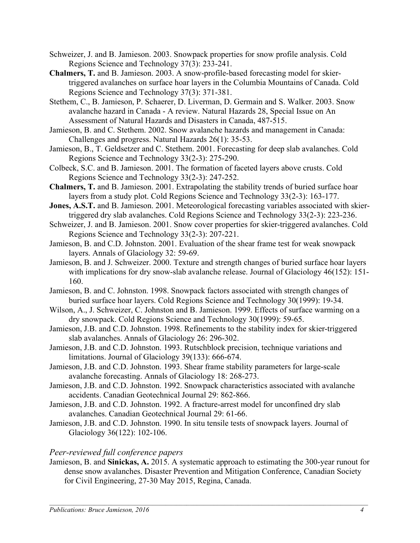- Schweizer, J. and B. Jamieson. 2003. Snowpack properties for snow profile analysis. Cold Regions Science and Technology 37(3): 233-241.
- Chalmers, T. and B. Jamieson. 2003. A snow-profile-based forecasting model for skiertriggered avalanches on surface hoar layers in the Columbia Mountains of Canada. Cold Regions Science and Technology 37(3): 371-381.
- Stethem, C., B. Jamieson, P. Schaerer, D. Liverman, D. Germain and S. Walker. 2003. Snow avalanche hazard in Canada - A review. Natural Hazards 28, Special Issue on An Assessment of Natural Hazards and Disasters in Canada, 487-515.
- Jamieson, B. and C. Stethem. 2002. Snow avalanche hazards and management in Canada: Challenges and progress. Natural Hazards 26(1): 35-53.
- Jamieson, B., T. Geldsetzer and C. Stethem. 2001. Forecasting for deep slab avalanches. Cold Regions Science and Technology 33(2-3): 275-290.
- Colbeck, S.C. and B. Jamieson. 2001. The formation of faceted layers above crusts. Cold Regions Science and Technology 33(2-3): 247-252.
- Chalmers, T. and B. Jamieson. 2001. Extrapolating the stability trends of buried surface hoar layers from a study plot. Cold Regions Science and Technology 33(2-3): 163-177.
- Jones, A.S.T. and B. Jamieson. 2001. Meteorological forecasting variables associated with skiertriggered dry slab avalanches. Cold Regions Science and Technology 33(2-3): 223-236.
- Schweizer, J. and B. Jamieson. 2001. Snow cover properties for skier-triggered avalanches. Cold Regions Science and Technology 33(2-3): 207-221.
- Jamieson, B. and C.D. Johnston. 2001. Evaluation of the shear frame test for weak snowpack layers. Annals of Glaciology 32: 59-69.
- Jamieson, B. and J. Schweizer. 2000. Texture and strength changes of buried surface hoar layers with implications for dry snow-slab avalanche release. Journal of Glaciology 46(152): 151-160.
- Jamieson, B. and C. Johnston. 1998. Snowpack factors associated with strength changes of buried surface hoar layers. Cold Regions Science and Technology 30(1999): 19-34.
- Wilson, A., J. Schweizer, C. Johnston and B. Jamieson. 1999. Effects of surface warming on a dry snowpack. Cold Regions Science and Technology 30(1999): 59-65.
- Jamieson, J.B. and C.D. Johnston. 1998. Refinements to the stability index for skier-triggered slab avalanches. Annals of Glaciology 26: 296-302.
- Jamieson, J.B. and C.D. Johnston. 1993. Rutschblock precision, technique variations and limitations. Journal of Glaciology 39(133): 666-674.
- Jamieson, J.B. and C.D. Johnston. 1993. Shear frame stability parameters for large-scale avalanche forecasting. Annals of Glaciology 18: 268-273.
- Jamieson, J.B. and C.D. Johnston. 1992. Snowpack characteristics associated with avalanche accidents. Canadian Geotechnical Journal 29: 862-866.
- Jamieson, J.B. and C.D. Johnston. 1992. A fracture-arrest model for unconfined dry slab avalanches. Canadian Geotechnical Journal 29: 61-66.
- Jamieson, J.B. and C.D. Johnston. 1990. In situ tensile tests of snowpack layers. Journal of Glaciology 36(122): 102-106.

### Peer-reviewed full conference papers

Jamieson, B. and Sinickas, A. 2015. A systematic approach to estimating the 300-year runout for dense snow avalanches. Disaster Prevention and Mitigation Conference, Canadian Society for Civil Engineering, 27-30 May 2015, Regina, Canada.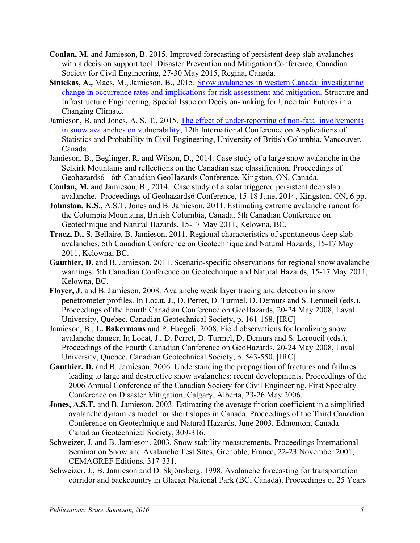- Conlan, M. and Jamieson, B. 2015. Improved forecasting of persistent deep slab avalanches with a decision support tool. Disaster Prevention and Mitigation Conference, Canadian Society for Civil Engineering, 27-30 May 2015, Regina, Canada.
- Sinickas, A., Maes, M., Jamieson, B., 2015. Snow avalanches in western Canada: investigating change in occurrence rates and implications for risk assessment and mitigation. Structure and Infrastructure Engineering, Special Issue on Decision-making for Uncertain Futures in a Changing Climate.
- Jamieson, B. and Jones, A. S. T., 2015. The effect of under-reporting of non-fatal involvements in snow avalanches on vulnerability, 12th International Conference on Applications of Statistics and Probability in Civil Engineering, University of British Columbia, Vancouver, Canada.
- Jamieson, B., Beglinger, R. and Wilson, D., 2014. Case study of a large snow avalanche in the Selkirk Mountains and reflections on the Canadian size classification, Proceedings of Geohazards6 - 6th Canadian GeoHazards Conference, Kingston, ON, Canada.
- Conlan, M. and Jamieson, B., 2014. Case study of a solar triggered persistent deep slab avalanche. Proceedings of Geohazards6 Conference, 15-18 June, 2014, Kingston, ON, 6 pp.
- Johnston, K.S., A.S.T. Jones and B. Jamieson. 2011. Estimating extreme avalanche runout for the Columbia Mountains, British Columbia, Canada, 5th Canadian Conference on Geotechnique and Natural Hazards, 15-17 May 2011, Kelowna, BC.
- Tracz, D., S. Bellaire, B. Jamieson. 2011. Regional characteristics of spontaneous deep slab avalanches. 5th Canadian Conference on Geotechnique and Natural Hazards, 15-17 May 2011, Kelowna, BC.
- Gauthier, D. and B. Jamieson. 2011. Scenario-specific observations for regional snow avalanche warnings. 5th Canadian Conference on Geotechnique and Natural Hazards, 15-17 May 2011, Kelowna, BC.
- Floyer, J. and B. Jamieson. 2008. Avalanche weak layer tracing and detection in snow penetrometer profiles. In Locat, J., D. Perret, D. Turmel, D. Demurs and S. Leroueil (eds.), Proceedings of the Fourth Canadian Conference on GeoHazards, 20-24 May 2008, Laval University, Quebec. Canadian Geotechnical Society, p. 161-168. [IRC]
- Jamieson, B., L. Bakermans and P. Haegeli. 2008. Field observations for localizing snow avalanche danger. In Locat, J., D. Perret, D. Turmel, D. Demurs and S. Leroueil (eds.), Proceedings of the Fourth Canadian Conference on GeoHazards, 20-24 May 2008, Laval University, Quebec. Canadian Geotechnical Society, p. 543-550. [IRC]
- Gauthier, D. and B. Jamieson. 2006. Understanding the propagation of fractures and failures leading to large and destructive snow avalanches: recent developments. Proceedings of the 2006 Annual Conference of the Canadian Society for Civil Engineering, First Specialty Conference on Disaster Mitigation, Calgary, Alberta, 23-26 May 2006.
- Jones, A.S.T. and B. Jamieson. 2003. Estimating the average friction coefficient in a simplified avalanche dynamics model for short slopes in Canada. Proceedings of the Third Canadian Conference on Geotechnique and Natural Hazards, June 2003, Edmonton, Canada. Canadian Geotechnical Society, 309-316.
- Schweizer, J. and B. Jamieson. 2003. Snow stability measurements. Proceedings International Seminar on Snow and Avalanche Test Sites, Grenoble, France, 22-23 November 2001, CEMAGREF Editions, 317-331.
- Schweizer, J., B. Jamieson and D. Skjönsberg. 1998. Avalanche forecasting for transportation corridor and backcountry in Glacier National Park (BC, Canada). Proceedings of 25 Years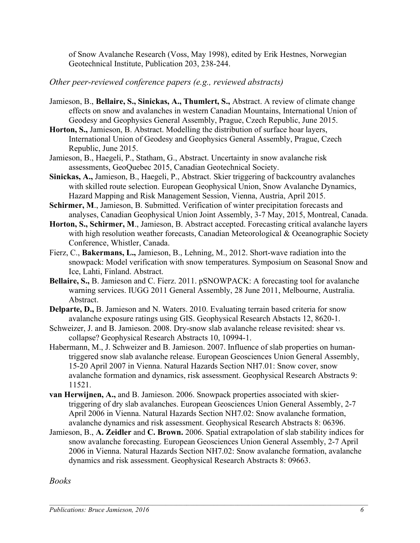of Snow Avalanche Research (Voss, May 1998), edited by Erik Hestnes, Norwegian Geotechnical Institute, Publication 203, 238-244.

Other peer-reviewed conference papers (e.g., reviewed abstracts)

- Jamieson, B., Bellaire, S., Sinickas, A., Thumlert, S., Abstract. A review of climate change effects on snow and avalanches in western Canadian Mountains, International Union of Geodesy and Geophysics General Assembly, Prague, Czech Republic, June 2015.
- Horton, S., Jamieson, B. Abstract. Modelling the distribution of surface hoar layers, International Union of Geodesy and Geophysics General Assembly, Prague, Czech Republic, June 2015.
- Jamieson, B., Haegeli, P., Statham, G., Abstract. Uncertainty in snow avalanche risk assessments, GeoQuebec 2015, Canadian Geotechnical Society.
- Sinickas, A., Jamieson, B., Haegeli, P., Abstract. Skier triggering of backcountry avalanches with skilled route selection. European Geophysical Union, Snow Avalanche Dynamics, Hazard Mapping and Risk Management Session, Vienna, Austria, April 2015.
- Schirmer, M., Jamieson, B. Submitted. Verification of winter precipitation forecasts and analyses, Canadian Geophysical Union Joint Assembly, 3-7 May, 2015, Montreal, Canada.
- Horton, S., Schirmer, M., Jamieson, B. Abstract accepted. Forecasting critical avalanche layers with high resolution weather forecasts, Canadian Meteorological & Oceanographic Society Conference, Whistler, Canada.
- Fierz, C., Bakermans, L., Jamieson, B., Lehning, M., 2012. Short-wave radiation into the snowpack: Model verification with snow temperatures. Symposium on Seasonal Snow and Ice, Lahti, Finland. Abstract.
- Bellaire, S., B. Jamieson and C. Fierz. 2011. pSNOWPACK: A forecasting tool for avalanche warning services. IUGG 2011 General Assembly, 28 June 2011, Melbourne, Australia. Abstract.
- Delparte, D., B. Jamieson and N. Waters. 2010. Evaluating terrain based criteria for snow avalanche exposure ratings using GIS. Geophysical Research Abstacts 12, 8620-1.
- Schweizer, J. and B. Jamieson. 2008. Dry-snow slab avalanche release revisited: shear vs. collapse? Geophysical Research Abstracts 10, 10994-1.
- Habermann, M., J. Schweizer and B. Jamieson. 2007. Influence of slab properties on humantriggered snow slab avalanche release. European Geosciences Union General Assembly, 15-20 April 2007 in Vienna. Natural Hazards Section NH7.01: Snow cover, snow avalanche formation and dynamics, risk assessment. Geophysical Research Abstracts 9: 11521.
- van Herwijnen, A., and B. Jamieson. 2006. Snowpack properties associated with skiertriggering of dry slab avalanches. European Geosciences Union General Assembly, 2-7 April 2006 in Vienna. Natural Hazards Section NH7.02: Snow avalanche formation, avalanche dynamics and risk assessment. Geophysical Research Abstracts 8: 06396.
- Jamieson, B., A. Zeidler and C. Brown. 2006. Spatial extrapolation of slab stability indices for snow avalanche forecasting. European Geosciences Union General Assembly, 2-7 April 2006 in Vienna. Natural Hazards Section NH7.02: Snow avalanche formation, avalanche dynamics and risk assessment. Geophysical Research Abstracts 8: 09663.

 $\mathcal{L}_\mathcal{L} = \mathcal{L}_\mathcal{L} = \mathcal{L}_\mathcal{L} = \mathcal{L}_\mathcal{L} = \mathcal{L}_\mathcal{L} = \mathcal{L}_\mathcal{L} = \mathcal{L}_\mathcal{L} = \mathcal{L}_\mathcal{L} = \mathcal{L}_\mathcal{L} = \mathcal{L}_\mathcal{L} = \mathcal{L}_\mathcal{L} = \mathcal{L}_\mathcal{L} = \mathcal{L}_\mathcal{L} = \mathcal{L}_\mathcal{L} = \mathcal{L}_\mathcal{L} = \mathcal{L}_\mathcal{L} = \mathcal{L}_\mathcal{L}$ 

Books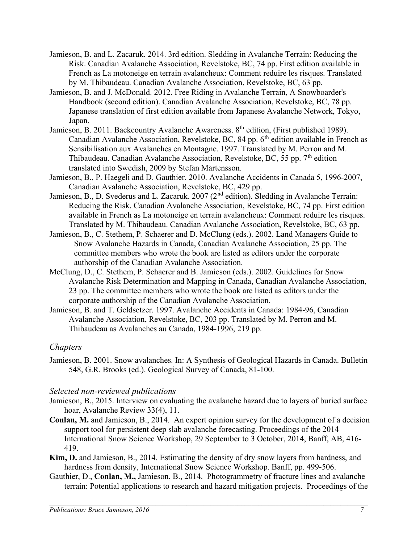- Jamieson, B. and L. Zacaruk. 2014. 3rd edition. Sledding in Avalanche Terrain: Reducing the Risk. Canadian Avalanche Association, Revelstoke, BC, 74 pp. First edition available in French as La motoneige en terrain avalancheux: Comment reduire les risques. Translated by M. Thibaudeau. Canadian Avalanche Association, Revelstoke, BC, 63 pp.
- Jamieson, B. and J. McDonald. 2012. Free Riding in Avalanche Terrain, A Snowboarder's Handbook (second edition). Canadian Avalanche Association, Revelstoke, BC, 78 pp. Japanese translation of first edition available from Japanese Avalanche Network, Tokyo, Japan.
- Jamieson, B. 2011. Backcountry Avalanche Awareness.  $8<sup>th</sup>$  edition, (First published 1989). Canadian Avalanche Association, Revelstoke, BC, 84 pp.  $6<sup>th</sup>$  edition available in French as Sensibilisation aux Avalanches en Montagne. 1997. Translated by M. Perron and M. Thibaudeau. Canadian Avalanche Association, Revelstoke, BC, 55 pp.  $7<sup>th</sup>$  edition translated into Swedish, 2009 by Stefan Mårtensson.
- Jamieson, B., P. Haegeli and D. Gauthier. 2010. Avalanche Accidents in Canada 5, 1996-2007, Canadian Avalanche Association, Revelstoke, BC, 429 pp.
- Jamieson, B., D. Svederus and L. Zacaruk. 2007 (2<sup>nd</sup> edition). Sledding in Avalanche Terrain: Reducing the Risk. Canadian Avalanche Association, Revelstoke, BC, 74 pp. First edition available in French as La motoneige en terrain avalancheux: Comment reduire les risques. Translated by M. Thibaudeau. Canadian Avalanche Association, Revelstoke, BC, 63 pp.
- Jamieson, B., C. Stethem, P. Schaerer and D. McClung (eds.). 2002. Land Managers Guide to Snow Avalanche Hazards in Canada, Canadian Avalanche Association, 25 pp. The committee members who wrote the book are listed as editors under the corporate authorship of the Canadian Avalanche Association.
- McClung, D., C. Stethem, P. Schaerer and B. Jamieson (eds.). 2002. Guidelines for Snow Avalanche Risk Determination and Mapping in Canada, Canadian Avalanche Association, 23 pp. The committee members who wrote the book are listed as editors under the corporate authorship of the Canadian Avalanche Association.
- Jamieson, B. and T. Geldsetzer. 1997. Avalanche Accidents in Canada: 1984-96, Canadian Avalanche Association, Revelstoke, BC, 203 pp. Translated by M. Perron and M. Thibaudeau as Avalanches au Canada, 1984-1996, 219 pp.

## **Chapters**

Jamieson, B. 2001. Snow avalanches. In: A Synthesis of Geological Hazards in Canada. Bulletin 548, G.R. Brooks (ed.). Geological Survey of Canada, 81-100.

# Selected non-reviewed publications

- Jamieson, B., 2015. Interview on evaluating the avalanche hazard due to layers of buried surface hoar, Avalanche Review 33(4), 11.
- Conlan, M. and Jamieson, B., 2014. An expert opinion survey for the development of a decision support tool for persistent deep slab avalanche forecasting. Proceedings of the 2014 International Snow Science Workshop, 29 September to 3 October, 2014, Banff, AB, 416- 419.
- Kim, D. and Jamieson, B., 2014. Estimating the density of dry snow layers from hardness, and hardness from density, International Snow Science Workshop. Banff, pp. 499-506.
- Gauthier, D., Conlan, M., Jamieson, B., 2014. Photogrammetry of fracture lines and avalanche terrain: Potential applications to research and hazard mitigation projects. Proceedings of the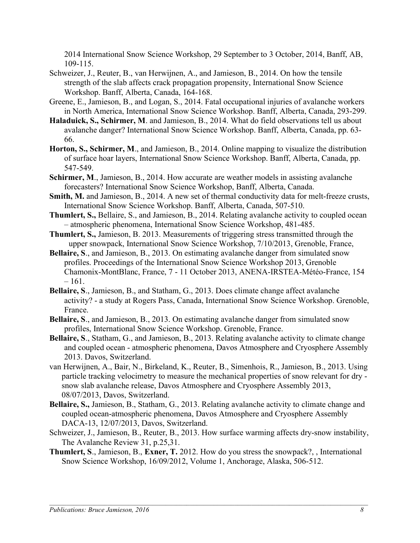2014 International Snow Science Workshop, 29 September to 3 October, 2014, Banff, AB, 109-115.

- Schweizer, J., Reuter, B., van Herwijnen, A., and Jamieson, B., 2014. On how the tensile strength of the slab affects crack propagation propensity, International Snow Science Workshop. Banff, Alberta, Canada, 164-168.
- Greene, E., Jamieson, B., and Logan, S., 2014. Fatal occupational injuries of avalanche workers in North America, International Snow Science Workshop. Banff, Alberta, Canada, 293-299.
- Haladuick, S., Schirmer, M. and Jamieson, B., 2014. What do field observations tell us about avalanche danger? International Snow Science Workshop. Banff, Alberta, Canada, pp. 63- 66.
- Horton, S., Schirmer, M., and Jamieson, B., 2014. Online mapping to visualize the distribution of surface hoar layers, International Snow Science Workshop. Banff, Alberta, Canada, pp. 547-549.
- Schirmer, M., Jamieson, B., 2014. How accurate are weather models in assisting avalanche forecasters? International Snow Science Workshop, Banff, Alberta, Canada.
- Smith, M. and Jamieson, B., 2014. A new set of thermal conductivity data for melt-freeze crusts, International Snow Science Workshop. Banff, Alberta, Canada, 507-510.
- Thumlert, S., Bellaire, S., and Jamieson, B., 2014. Relating avalanche activity to coupled ocean – atmospheric phenomena, International Snow Science Workshop, 481-485.
- Thumlert, S., Jamieson, B. 2013. Measurements of triggering stress transmitted through the upper snowpack, International Snow Science Workshop, 7/10/2013, Grenoble, France,
- Bellaire, S., and Jamieson, B., 2013. On estimating avalanche danger from simulated snow profiles. Proceedings of the International Snow Science Workshop 2013, Grenoble Chamonix-MontBlanc, France, 7 - 11 October 2013, ANENA-IRSTEA-Météo-France, 154  $-161.$
- Bellaire, S., Jamieson, B., and Statham, G., 2013. Does climate change affect avalanche activity? - a study at Rogers Pass, Canada, International Snow Science Workshop. Grenoble, France.
- Bellaire, S., and Jamieson, B., 2013. On estimating avalanche danger from simulated snow profiles, International Snow Science Workshop. Grenoble, France.
- Bellaire, S., Statham, G., and Jamieson, B., 2013. Relating avalanche activity to climate change and coupled ocean - atmospheric phenomena, Davos Atmosphere and Cryosphere Assembly 2013. Davos, Switzerland.
- van Herwijnen, A., Bair, N., Birkeland, K., Reuter, B., Simenhois, R., Jamieson, B., 2013. Using particle tracking velocimetry to measure the mechanical properties of snow relevant for dry snow slab avalanche release, Davos Atmosphere and Cryosphere Assembly 2013, 08/07/2013, Davos, Switzerland.
- Bellaire, S., Jamieson, B., Statham, G., 2013. Relating avalanche activity to climate change and coupled ocean-atmospheric phenomena, Davos Atmosphere and Cryosphere Assembly DACA-13, 12/07/2013, Davos, Switzerland.
- Schweizer, J., Jamieson, B., Reuter, B., 2013. How surface warming affects dry-snow instability, The Avalanche Review 31, p.25,31.
- Thumlert, S., Jamieson, B., Exner, T. 2012. How do you stress the snowpack?, , International Snow Science Workshop, 16/09/2012, Volume 1, Anchorage, Alaska, 506-512.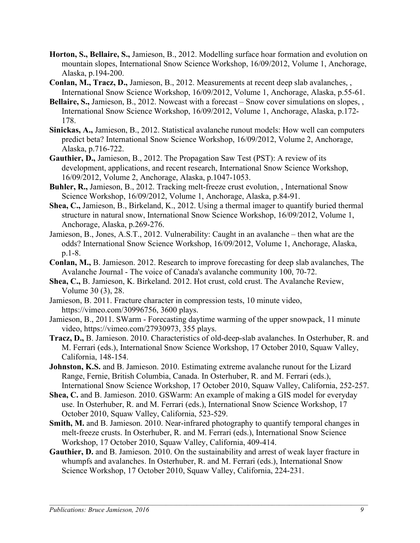- Horton, S., Bellaire, S., Jamieson, B., 2012. Modelling surface hoar formation and evolution on mountain slopes, International Snow Science Workshop, 16/09/2012, Volume 1, Anchorage, Alaska, p.194-200.
- Conlan, M., Tracz, D., Jamieson, B., 2012. Measurements at recent deep slab avalanches, , International Snow Science Workshop, 16/09/2012, Volume 1, Anchorage, Alaska, p.55-61.
- Bellaire, S., Jamieson, B., 2012. Nowcast with a forecast Snow cover simulations on slopes, , International Snow Science Workshop, 16/09/2012, Volume 1, Anchorage, Alaska, p.172- 178.
- Sinickas, A., Jamieson, B., 2012. Statistical avalanche runout models: How well can computers predict beta? International Snow Science Workshop, 16/09/2012, Volume 2, Anchorage, Alaska, p.716-722.
- Gauthier, D., Jamieson, B., 2012. The Propagation Saw Test (PST): A review of its development, applications, and recent research, International Snow Science Workshop, 16/09/2012, Volume 2, Anchorage, Alaska, p.1047-1053.
- Buhler, R., Jamieson, B., 2012. Tracking melt-freeze crust evolution, , International Snow Science Workshop, 16/09/2012, Volume 1, Anchorage, Alaska, p.84-91.
- Shea, C., Jamieson, B., Birkeland, K., 2012. Using a thermal imager to quantify buried thermal structure in natural snow, International Snow Science Workshop, 16/09/2012, Volume 1, Anchorage, Alaska, p.269-276.
- Jamieson, B., Jones, A.S.T., 2012. Vulnerability: Caught in an avalanche then what are the odds? International Snow Science Workshop, 16/09/2012, Volume 1, Anchorage, Alaska, p.1-8.
- Conlan, M., B. Jamieson. 2012. Research to improve forecasting for deep slab avalanches, The Avalanche Journal - The voice of Canada's avalanche community 100, 70-72.
- Shea, C., B. Jamieson, K. Birkeland. 2012. Hot crust, cold crust. The Avalanche Review, Volume 30 (3), 28.
- Jamieson, B. 2011. Fracture character in compression tests, 10 minute video, https://vimeo.com/30996756, 3600 plays.
- Jamieson, B., 2011. SWarm Forecasting daytime warming of the upper snowpack, 11 minute video, https://vimeo.com/27930973, 355 plays.
- Tracz, D., B. Jamieson. 2010. Characteristics of old-deep-slab avalanches. In Osterhuber, R. and M. Ferrari (eds.), International Snow Science Workshop, 17 October 2010, Squaw Valley, California, 148-154.
- Johnston, K.S. and B. Jamieson. 2010. Estimating extreme avalanche runout for the Lizard Range, Fernie, British Columbia, Canada. In Osterhuber, R. and M. Ferrari (eds.), International Snow Science Workshop, 17 October 2010, Squaw Valley, California, 252-257.
- Shea, C. and B. Jamieson. 2010. GSWarm: An example of making a GIS model for everyday use. In Osterhuber, R. and M. Ferrari (eds.), International Snow Science Workshop, 17 October 2010, Squaw Valley, California, 523-529.
- Smith, M. and B. Jamieson. 2010. Near-infrared photography to quantify temporal changes in melt-freeze crusts. In Osterhuber, R. and M. Ferrari (eds.), International Snow Science Workshop, 17 October 2010, Squaw Valley, California, 409-414.
- Gauthier, D. and B. Jamieson. 2010. On the sustainability and arrest of weak layer fracture in whumpfs and avalanches. In Osterhuber, R. and M. Ferrari (eds.), International Snow Science Workshop, 17 October 2010, Squaw Valley, California, 224-231.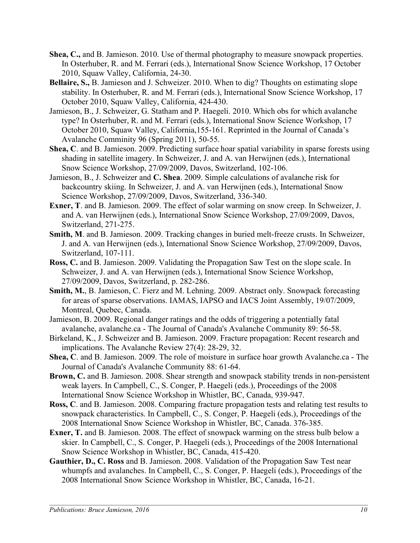- Shea, C., and B. Jamieson. 2010. Use of thermal photography to measure snowpack properties. In Osterhuber, R. and M. Ferrari (eds.), International Snow Science Workshop, 17 October 2010, Squaw Valley, California, 24-30.
- Bellaire, S., B. Jamieson and J. Schweizer. 2010. When to dig? Thoughts on estimating slope stability. In Osterhuber, R. and M. Ferrari (eds.), International Snow Science Workshop, 17 October 2010, Squaw Valley, California, 424-430.
- Jamieson, B., J. Schweizer, G. Statham and P. Haegeli. 2010. Which obs for which avalanche type? In Osterhuber, R. and M. Ferrari (eds.), International Snow Science Workshop, 17 October 2010, Squaw Valley, California,155-161. Reprinted in the Journal of Canada's Avalanche Comminity 96 (Spring 2011), 50-55.
- Shea, C. and B. Jamieson. 2009. Predicting surface hoar spatial variability in sparse forests using shading in satellite imagery. In Schweizer, J. and A. van Herwijnen (eds.), International Snow Science Workshop, 27/09/2009, Davos, Switzerland, 102-106.
- Jamieson, B., J. Schweizer and C. Shea. 2009. Simple calculations of avalanche risk for backcountry skiing. In Schweizer, J. and A. van Herwijnen (eds.), International Snow Science Workshop, 27/09/2009, Davos, Switzerland, 336-340.
- Exner, T. and B. Jamieson. 2009. The effect of solar warming on snow creep. In Schweizer, J. and A. van Herwijnen (eds.), International Snow Science Workshop, 27/09/2009, Davos, Switzerland, 271-275.
- Smith, M. and B. Jamieson. 2009. Tracking changes in buried melt-freeze crusts. In Schweizer, J. and A. van Herwijnen (eds.), International Snow Science Workshop, 27/09/2009, Davos, Switzerland, 107-111.
- Ross, C. and B. Jamieson. 2009. Validating the Propagation Saw Test on the slope scale. In Schweizer, J. and A. van Herwijnen (eds.), International Snow Science Workshop, 27/09/2009, Davos, Switzerland, p. 282-286.
- Smith, M., B. Jamieson, C. Fierz and M. Lehning. 2009. Abstract only. Snowpack forecasting for areas of sparse observations. IAMAS, IAPSO and IACS Joint Assembly, 19/07/2009, Montreal, Quebec, Canada.
- Jamieson, B. 2009. Regional danger ratings and the odds of triggering a potentially fatal avalanche, avalanche.ca - The Journal of Canada's Avalanche Community 89: 56-58.
- Birkeland, K., J. Schweizer and B. Jamieson. 2009. Fracture propagation: Recent research and implications. The Avalanche Review 27(4): 28-29, 32.
- Shea, C. and B. Jamieson. 2009. The role of moisture in surface hoar growth Avalanche.ca The Journal of Canada's Avalanche Community 88: 61-64.
- Brown, C. and B. Jamieson. 2008. Shear strength and snowpack stability trends in non-persistent weak layers. In Campbell, C., S. Conger, P. Haegeli (eds.), Proceedings of the 2008 International Snow Science Workshop in Whistler, BC, Canada, 939-947.
- Ross, C. and B. Jamieson. 2008. Comparing fracture propagation tests and relating test results to snowpack characteristics. In Campbell, C., S. Conger, P. Haegeli (eds.), Proceedings of the 2008 International Snow Science Workshop in Whistler, BC, Canada. 376-385.
- Exner, T. and B. Jamieson. 2008. The effect of snowpack warming on the stress bulb below a skier. In Campbell, C., S. Conger, P. Haegeli (eds.), Proceedings of the 2008 International Snow Science Workshop in Whistler, BC, Canada, 415-420.
- Gauthier, D., C. Ross and B. Jamieson. 2008. Validation of the Propagation Saw Test near whumpfs and avalanches. In Campbell, C., S. Conger, P. Haegeli (eds.), Proceedings of the 2008 International Snow Science Workshop in Whistler, BC, Canada, 16-21.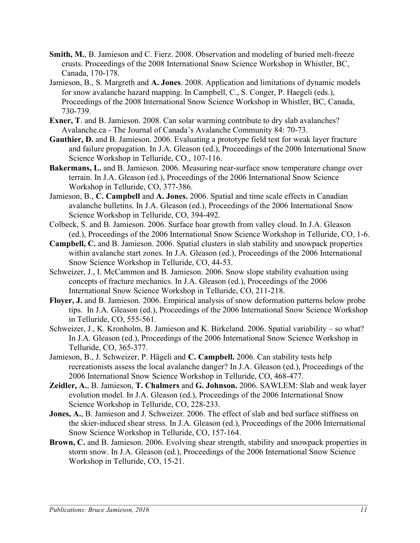- Smith, M., B. Jamieson and C. Fierz. 2008. Observation and modeling of buried melt-freeze crusts. Proceedings of the 2008 International Snow Science Workshop in Whistler, BC, Canada, 170-178.
- Jamieson, B., S. Margreth and A. Jones. 2008. Application and limitations of dynamic models for snow avalanche hazard mapping. In Campbell, C., S. Conger, P. Haegeli (eds.), Proceedings of the 2008 International Snow Science Workshop in Whistler, BC, Canada, 730-739.
- Exner, T. and B. Jamieson. 2008. Can solar warming contribute to dry slab avalanches? Avalanche.ca - The Journal of Canada's Avalanche Community 84: 70-73.
- Gauthier, D. and B. Jamieson. 2006. Evaluating a prototype field test for weak layer fracture and failure propagation. In J.A. Gleason (ed.), Proceedings of the 2006 International Snow Science Workshop in Telluride, CO., 107-116.
- Bakermans, L. and B. Jamieson. 2006. Measuring near-surface snow temperature change over terrain. In J.A. Gleason (ed.), Proceedings of the 2006 International Snow Science Workshop in Telluride, CO, 377-386.
- Jamieson, B., C. Campbell and A. Jones. 2006. Spatial and time scale effects in Canadian avalanche bulletins. In J.A. Gleason (ed.), Proceedings of the 2006 International Snow Science Workshop in Telluride, CO, 394-492.
- Colbeck, S. and B. Jamieson. 2006. Surface hoar growth from valley cloud. In J.A. Gleason (ed.), Proceedings of the 2006 International Snow Science Workshop in Telluride, CO, 1-6.
- Campbell, C. and B. Jamieson. 2006. Spatial clusters in slab stability and snowpack properties within avalanche start zones. In J.A. Gleason (ed.), Proceedings of the 2006 International Snow Science Workshop in Telluride, CO, 44-53.
- Schweizer, J., I. McCammon and B. Jamieson. 2006. Snow slope stability evaluation using concepts of fracture mechanics. In J.A. Gleason (ed.), Proceedings of the 2006 International Snow Science Workshop in Telluride, CO, 211-218.
- Floyer, J. and B. Jamieson. 2006. Empirical analysis of snow deformation patterns below probe tips. In J.A. Gleason (ed.), Proceedings of the 2006 International Snow Science Workshop in Telluride, CO, 555-561.
- Schweizer, J., K. Kronholm, B. Jamieson and K. Birkeland. 2006. Spatial variability so what? In J.A. Gleason (ed.), Proceedings of the 2006 International Snow Science Workshop in Telluride, CO, 365-377.
- Jamieson, B., J. Schweizer, P. Hägeli and C. Campbell. 2006. Can stability tests help recreationists assess the local avalanche danger? In J.A. Gleason (ed.), Proceedings of the 2006 International Snow Science Workshop in Telluride, CO, 468-477.
- Zeidler, A., B. Jamieson, T. Chalmers and G. Johnson. 2006. SAWLEM: Slab and weak layer evolution model. In J.A. Gleason (ed.), Proceedings of the 2006 International Snow Science Workshop in Telluride, CO, 228-233.
- Jones, A., B. Jamieson and J. Schweizer. 2006. The effect of slab and bed surface stiffness on the skier-induced shear stress. In J.A. Gleason (ed.), Proceedings of the 2006 International Snow Science Workshop in Telluride, CO, 157-164.
- Brown, C. and B. Jamieson. 2006. Evolving shear strength, stability and snowpack properties in storm snow. In J.A. Gleason (ed.), Proceedings of the 2006 International Snow Science Workshop in Telluride, CO, 15-21.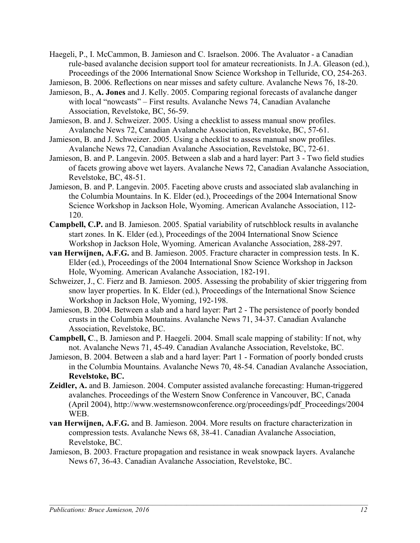- Haegeli, P., I. McCammon, B. Jamieson and C. Israelson. 2006. The Avaluator a Canadian rule-based avalanche decision support tool for amateur recreationists. In J.A. Gleason (ed.), Proceedings of the 2006 International Snow Science Workshop in Telluride, CO, 254-263.
- Jamieson, B. 2006. Reflections on near misses and safety culture. Avalanche News 76, 18-20.
- Jamieson, B., A. Jones and J. Kelly. 2005. Comparing regional forecasts of avalanche danger with local "nowcasts" – First results. Avalanche News 74, Canadian Avalanche Association, Revelstoke, BC, 56-59.
- Jamieson, B. and J. Schweizer. 2005. Using a checklist to assess manual snow profiles. Avalanche News 72, Canadian Avalanche Association, Revelstoke, BC, 57-61.
- Jamieson, B. and J. Schweizer. 2005. Using a checklist to assess manual snow profiles. Avalanche News 72, Canadian Avalanche Association, Revelstoke, BC, 72-61.
- Jamieson, B. and P. Langevin. 2005. Between a slab and a hard layer: Part 3 Two field studies of facets growing above wet layers. Avalanche News 72, Canadian Avalanche Association, Revelstoke, BC, 48-51.
- Jamieson, B. and P. Langevin. 2005. Faceting above crusts and associated slab avalanching in the Columbia Mountains. In K. Elder (ed.), Proceedings of the 2004 International Snow Science Workshop in Jackson Hole, Wyoming. American Avalanche Association, 112- 120.
- Campbell, C.P. and B. Jamieson. 2005. Spatial variability of rutschblock results in avalanche start zones. In K. Elder (ed.), Proceedings of the 2004 International Snow Science Workshop in Jackson Hole, Wyoming. American Avalanche Association, 288-297.
- van Herwijnen, A.F.G. and B. Jamieson. 2005. Fracture character in compression tests. In K. Elder (ed.), Proceedings of the 2004 International Snow Science Workshop in Jackson Hole, Wyoming. American Avalanche Association, 182-191.
- Schweizer, J., C. Fierz and B. Jamieson. 2005. Assessing the probability of skier triggering from snow layer properties. In K. Elder (ed.), Proceedings of the International Snow Science Workshop in Jackson Hole, Wyoming, 192-198.
- Jamieson, B. 2004. Between a slab and a hard layer: Part 2 The persistence of poorly bonded crusts in the Columbia Mountains. Avalanche News 71, 34-37. Canadian Avalanche Association, Revelstoke, BC.
- Campbell, C., B. Jamieson and P. Haegeli. 2004. Small scale mapping of stability: If not, why not. Avalanche News 71, 45-49. Canadian Avalanche Association, Revelstoke, BC.
- Jamieson, B. 2004. Between a slab and a hard layer: Part 1 Formation of poorly bonded crusts in the Columbia Mountains. Avalanche News 70, 48-54. Canadian Avalanche Association, Revelstoke, BC.
- Zeidler, A. and B. Jamieson. 2004. Computer assisted avalanche forecasting: Human-triggered avalanches. Proceedings of the Western Snow Conference in Vancouver, BC, Canada (April 2004), http://www.westernsnowconference.org/proceedings/pdf\_Proceedings/2004 WEB.
- van Herwijnen, A.F.G. and B. Jamieson. 2004. More results on fracture characterization in compression tests. Avalanche News 68, 38-41. Canadian Avalanche Association, Revelstoke, BC.
- Jamieson, B. 2003. Fracture propagation and resistance in weak snowpack layers. Avalanche News 67, 36-43. Canadian Avalanche Association, Revelstoke, BC.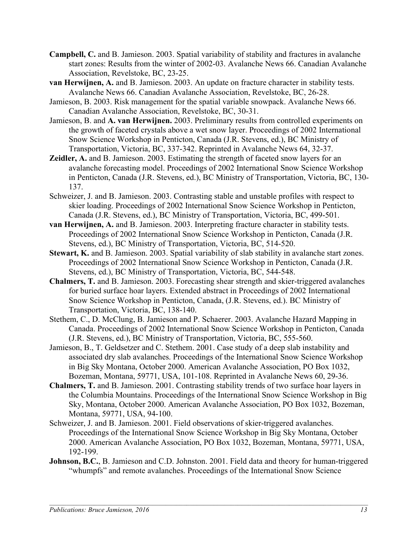- Campbell, C. and B. Jamieson. 2003. Spatial variability of stability and fractures in avalanche start zones: Results from the winter of 2002-03. Avalanche News 66. Canadian Avalanche Association, Revelstoke, BC, 23-25.
- van Herwijnen, A. and B. Jamieson. 2003. An update on fracture character in stability tests. Avalanche News 66. Canadian Avalanche Association, Revelstoke, BC, 26-28.
- Jamieson, B. 2003. Risk management for the spatial variable snowpack. Avalanche News 66. Canadian Avalanche Association, Revelstoke, BC, 30-31.
- Jamieson, B. and A. van Herwijnen. 2003. Preliminary results from controlled experiments on the growth of faceted crystals above a wet snow layer. Proceedings of 2002 International Snow Science Workshop in Penticton, Canada (J.R. Stevens, ed.), BC Ministry of Transportation, Victoria, BC, 337-342. Reprinted in Avalanche News 64, 32-37.
- Zeidler, A. and B. Jamieson. 2003. Estimating the strength of faceted snow layers for an avalanche forecasting model. Proceedings of 2002 International Snow Science Workshop in Penticton, Canada (J.R. Stevens, ed.), BC Ministry of Transportation, Victoria, BC, 130- 137.
- Schweizer, J. and B. Jamieson. 2003. Contrasting stable and unstable profiles with respect to skier loading. Proceedings of 2002 International Snow Science Workshop in Penticton, Canada (J.R. Stevens, ed.), BC Ministry of Transportation, Victoria, BC, 499-501.
- van Herwijnen, A. and B. Jamieson. 2003. Interpreting fracture character in stability tests. Proceedings of 2002 International Snow Science Workshop in Penticton, Canada (J.R. Stevens, ed.), BC Ministry of Transportation, Victoria, BC, 514-520.
- Stewart, K. and B. Jamieson. 2003. Spatial variability of slab stability in avalanche start zones. Proceedings of 2002 International Snow Science Workshop in Penticton, Canada (J.R. Stevens, ed.), BC Ministry of Transportation, Victoria, BC, 544-548.
- Chalmers, T. and B. Jamieson. 2003. Forecasting shear strength and skier-triggered avalanches for buried surface hoar layers. Extended abstract in Proceedings of 2002 International Snow Science Workshop in Penticton, Canada, (J.R. Stevens, ed.). BC Ministry of Transportation, Victoria, BC, 138-140.
- Stethem, C., D. McClung, B. Jamieson and P. Schaerer. 2003. Avalanche Hazard Mapping in Canada. Proceedings of 2002 International Snow Science Workshop in Penticton, Canada (J.R. Stevens, ed.), BC Ministry of Transportation, Victoria, BC, 555-560.
- Jamieson, B., T. Geldsetzer and C. Stethem. 2001. Case study of a deep slab instability and associated dry slab avalanches. Proceedings of the International Snow Science Workshop in Big Sky Montana, October 2000. American Avalanche Association, PO Box 1032, Bozeman, Montana, 59771, USA, 101-108. Reprinted in Avalanche News 60, 29-36.
- Chalmers, T. and B. Jamieson. 2001. Contrasting stability trends of two surface hoar layers in the Columbia Mountains. Proceedings of the International Snow Science Workshop in Big Sky, Montana, October 2000. American Avalanche Association, PO Box 1032, Bozeman, Montana, 59771, USA, 94-100.
- Schweizer, J. and B. Jamieson. 2001. Field observations of skier-triggered avalanches. Proceedings of the International Snow Science Workshop in Big Sky Montana, October 2000. American Avalanche Association, PO Box 1032, Bozeman, Montana, 59771, USA, 192-199.
- Johnson, B.C., B. Jamieson and C.D. Johnston. 2001. Field data and theory for human-triggered "whumpfs" and remote avalanches. Proceedings of the International Snow Science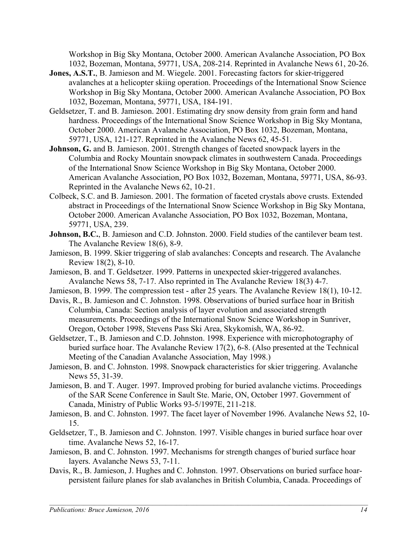Workshop in Big Sky Montana, October 2000. American Avalanche Association, PO Box 1032, Bozeman, Montana, 59771, USA, 208-214. Reprinted in Avalanche News 61, 20-26.

- Jones, A.S.T., B. Jamieson and M. Wiegele. 2001. Forecasting factors for skier-triggered avalanches at a helicopter skiing operation. Proceedings of the International Snow Science Workshop in Big Sky Montana, October 2000. American Avalanche Association, PO Box 1032, Bozeman, Montana, 59771, USA, 184-191.
- Geldsetzer, T. and B. Jamieson. 2001. Estimating dry snow density from grain form and hand hardness. Proceedings of the International Snow Science Workshop in Big Sky Montana, October 2000. American Avalanche Association, PO Box 1032, Bozeman, Montana, 59771, USA, 121-127. Reprinted in the Avalanche News 62, 45-51.
- Johnson, G. and B. Jamieson. 2001. Strength changes of faceted snowpack layers in the Columbia and Rocky Mountain snowpack climates in southwestern Canada. Proceedings of the International Snow Science Workshop in Big Sky Montana, October 2000. American Avalanche Association, PO Box 1032, Bozeman, Montana, 59771, USA, 86-93. Reprinted in the Avalanche News 62, 10-21.
- Colbeck, S.C. and B. Jamieson. 2001. The formation of faceted crystals above crusts. Extended abstract in Proceedings of the International Snow Science Workshop in Big Sky Montana, October 2000. American Avalanche Association, PO Box 1032, Bozeman, Montana, 59771, USA, 239.
- Johnson, B.C., B. Jamieson and C.D. Johnston. 2000. Field studies of the cantilever beam test. The Avalanche Review 18(6), 8-9.
- Jamieson, B. 1999. Skier triggering of slab avalanches: Concepts and research. The Avalanche Review 18(2), 8-10.
- Jamieson, B. and T. Geldsetzer. 1999. Patterns in unexpected skier-triggered avalanches. Avalanche News 58, 7-17. Also reprinted in The Avalanche Review 18(3) 4-7.
- Jamieson, B. 1999. The compression test after 25 years. The Avalanche Review 18(1), 10-12.
- Davis, R., B. Jamieson and C. Johnston. 1998. Observations of buried surface hoar in British Columbia, Canada: Section analysis of layer evolution and associated strength measurements. Proceedings of the International Snow Science Workshop in Sunriver, Oregon, October 1998, Stevens Pass Ski Area, Skykomish, WA, 86-92.
- Geldsetzer, T., B. Jamieson and C.D. Johnston. 1998. Experience with microphotography of buried surface hoar. The Avalanche Review 17(2), 6-8. (Also presented at the Technical Meeting of the Canadian Avalanche Association, May 1998.)
- Jamieson, B. and C. Johnston. 1998. Snowpack characteristics for skier triggering. Avalanche News 55, 31-39.
- Jamieson, B. and T. Auger. 1997. Improved probing for buried avalanche victims. Proceedings of the SAR Scene Conference in Sault Ste. Marie, ON, October 1997. Government of Canada, Ministry of Public Works 93-5/1997E, 211-218.
- Jamieson, B. and C. Johnston. 1997. The facet layer of November 1996. Avalanche News 52, 10- 15.
- Geldsetzer, T., B. Jamieson and C. Johnston. 1997. Visible changes in buried surface hoar over time. Avalanche News 52, 16-17.
- Jamieson, B. and C. Johnston. 1997. Mechanisms for strength changes of buried surface hoar layers. Avalanche News 53, 7-11.
- Davis, R., B. Jamieson, J. Hughes and C. Johnston. 1997. Observations on buried surface hoarpersistent failure planes for slab avalanches in British Columbia, Canada. Proceedings of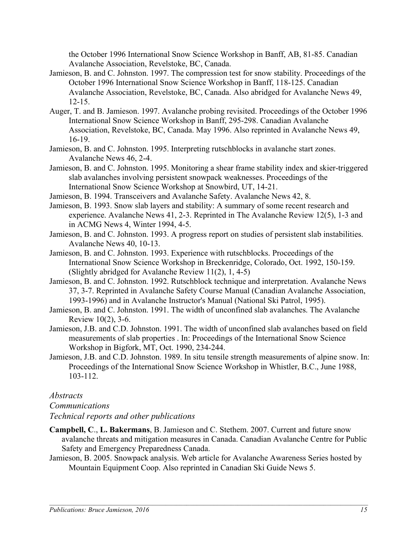the October 1996 International Snow Science Workshop in Banff, AB, 81-85. Canadian Avalanche Association, Revelstoke, BC, Canada.

- Jamieson, B. and C. Johnston. 1997. The compression test for snow stability. Proceedings of the October 1996 International Snow Science Workshop in Banff, 118-125. Canadian Avalanche Association, Revelstoke, BC, Canada. Also abridged for Avalanche News 49, 12-15.
- Auger, T. and B. Jamieson. 1997. Avalanche probing revisited. Proceedings of the October 1996 International Snow Science Workshop in Banff, 295-298. Canadian Avalanche Association, Revelstoke, BC, Canada. May 1996. Also reprinted in Avalanche News 49, 16-19.
- Jamieson, B. and C. Johnston. 1995. Interpreting rutschblocks in avalanche start zones. Avalanche News 46, 2-4.
- Jamieson, B. and C. Johnston. 1995. Monitoring a shear frame stability index and skier-triggered slab avalanches involving persistent snowpack weaknesses. Proceedings of the International Snow Science Workshop at Snowbird, UT, 14-21.
- Jamieson, B. 1994. Transceivers and Avalanche Safety. Avalanche News 42, 8.
- Jamieson, B. 1993. Snow slab layers and stability: A summary of some recent research and experience. Avalanche News 41, 2-3. Reprinted in The Avalanche Review 12(5), 1-3 and in ACMG News 4, Winter 1994, 4-5.
- Jamieson, B. and C. Johnston. 1993. A progress report on studies of persistent slab instabilities. Avalanche News 40, 10-13.
- Jamieson, B. and C. Johnston. 1993. Experience with rutschblocks. Proceedings of the International Snow Science Workshop in Breckenridge, Colorado, Oct. 1992, 150-159. (Slightly abridged for Avalanche Review 11(2), 1, 4-5)
- Jamieson, B. and C. Johnston. 1992. Rutschblock technique and interpretation. Avalanche News 37, 3-7. Reprinted in Avalanche Safety Course Manual (Canadian Avalanche Association, 1993-1996) and in Avalanche Instructor's Manual (National Ski Patrol, 1995).
- Jamieson, B. and C. Johnston. 1991. The width of unconfined slab avalanches. The Avalanche Review 10(2), 3-6.
- Jamieson, J.B. and C.D. Johnston. 1991. The width of unconfined slab avalanches based on field measurements of slab properties . In: Proceedings of the International Snow Science Workshop in Bigfork, MT, Oct. 1990, 234-244.
- Jamieson, J.B. and C.D. Johnston. 1989. In situ tensile strength measurements of alpine snow. In: Proceedings of the International Snow Science Workshop in Whistler, B.C., June 1988, 103-112.

## Abstracts

Communications

## Technical reports and other publications

- Campbell, C., L. Bakermans, B. Jamieson and C. Stethem. 2007. Current and future snow avalanche threats and mitigation measures in Canada. Canadian Avalanche Centre for Public Safety and Emergency Preparedness Canada.
- Jamieson, B. 2005. Snowpack analysis. Web article for Avalanche Awareness Series hosted by Mountain Equipment Coop. Also reprinted in Canadian Ski Guide News 5.